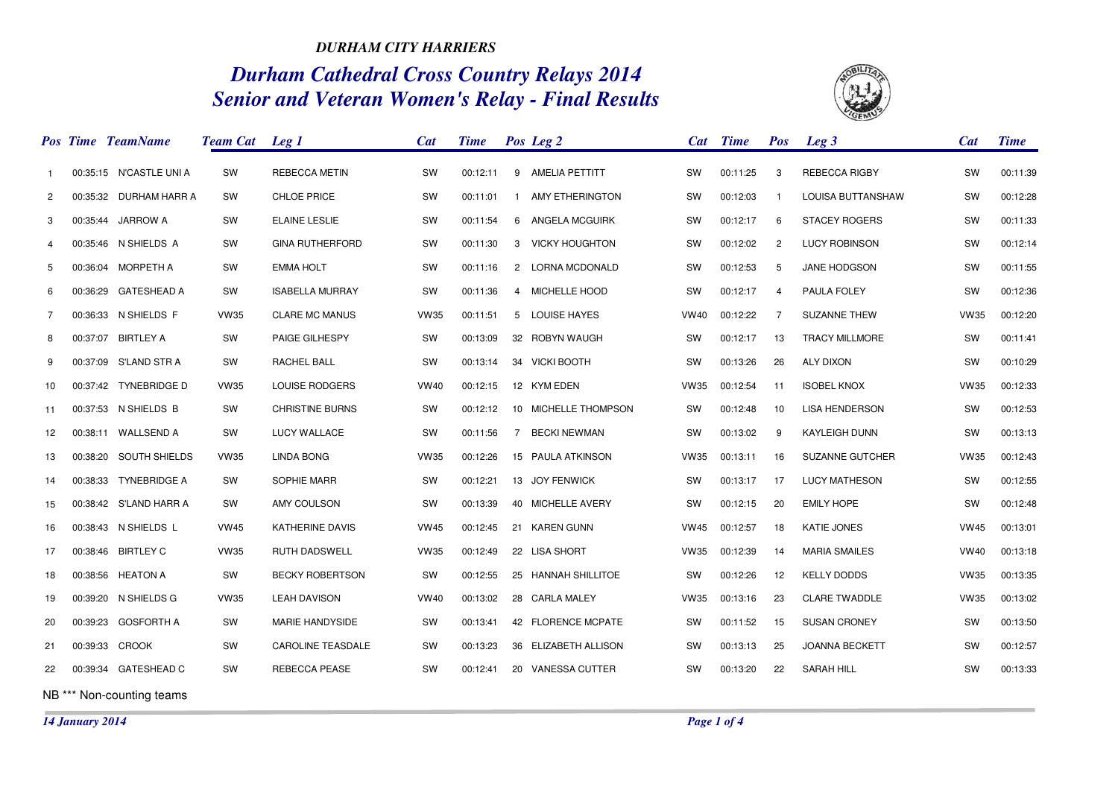## *DURHAM CITY HARRIERS*

## *Durham Cathedral Cross Country Relays 2014 Senior and Veteran Women's Relay - Final Results*



|                | <b>Pos Time TeamName</b> | <b>Team Cat</b> Leg 1 |                          | Cat         | <b>Time</b> |              | Pos Leg 2            |             | Cat Time | <b>Pos</b>     | $Leg\,3$               | <b>Cat</b>  | <b>Time</b> |
|----------------|--------------------------|-----------------------|--------------------------|-------------|-------------|--------------|----------------------|-------------|----------|----------------|------------------------|-------------|-------------|
| 1.             | 00:35:15 N'CASTLE UNI A  | SW                    | REBECCA METIN            | <b>SW</b>   | 00:12:11    |              | 9 AMELIA PETTITT     | <b>SW</b>   | 00:11:25 | 3              | <b>REBECCA RIGBY</b>   | <b>SW</b>   | 00:11:39    |
| $\overline{c}$ | 00:35:32 DURHAM HARR A   | SW                    | CHLOE PRICE              | SW          | 00:11:01    | $\mathbf{1}$ | AMY ETHERINGTON      | SW          | 00:12:03 | $\mathbf{1}$   | LOUISA BUTTANSHAW      | SW          | 00:12:28    |
| 3              | 00:35:44 JARROW A        | SW                    | <b>ELAINE LESLIE</b>     | SW          | 00:11:54    |              | 6 ANGELA MCGUIRK     | SW          | 00:12:17 | 6              | <b>STACEY ROGERS</b>   | SW          | 00:11:33    |
| 4              | 00:35:46 N SHIELDS A     | SW                    | <b>GINA RUTHERFORD</b>   | SW          | 00:11:30    |              | 3 VICKY HOUGHTON     | SW          | 00:12:02 | $\overline{2}$ | <b>LUCY ROBINSON</b>   | SW          | 00:12:14    |
| 5              | 00:36:04 MORPETH A       | SW                    | <b>EMMA HOLT</b>         | SW          | 00:11:16    |              | 2 LORNA MCDONALD     | SW          | 00:12:53 | 5              | JANE HODGSON           | SW          | 00:11:55    |
| 6              | 00:36:29 GATESHEAD A     | SW                    | <b>ISABELLA MURRAY</b>   | <b>SW</b>   | 00:11:36    |              | 4 MICHELLE HOOD      | <b>SW</b>   | 00:12:17 | $\overline{4}$ | PAULA FOLEY            | <b>SW</b>   | 00:12:36    |
| $\overline{7}$ | 00:36:33 N SHIELDS F     | <b>VW35</b>           | <b>CLARE MC MANUS</b>    | <b>VW35</b> | 00:11:51    |              | 5 LOUISE HAYES       | VW40        | 00:12:22 | 7              | <b>SUZANNE THEW</b>    | <b>VW35</b> | 00:12:20    |
| 8              | 00:37:07 BIRTLEY A       | SW                    | PAIGE GILHESPY           | SW          | 00:13:09    |              | 32 ROBYN WAUGH       | SW          | 00:12:17 | 13             | <b>TRACY MILLMORE</b>  | SW          | 00:11:41    |
| 9              | 00:37:09 S'LAND STR A    | SW                    | RACHEL BALL              | SW          | 00:13:14    |              | 34 VICKI BOOTH       | SW          | 00:13:26 | 26             | <b>ALY DIXON</b>       | SW          | 00:10:29    |
| 10             | 00:37:42 TYNEBRIDGE D    | <b>VW35</b>           | LOUISE RODGERS           | <b>VW40</b> | 00:12:15    |              | 12 KYM EDEN          | <b>VW35</b> | 00:12:54 | 11             | <b>ISOBEL KNOX</b>     | <b>VW35</b> | 00:12:33    |
| 11             | 00:37:53 N SHIELDS B     | SW                    | <b>CHRISTINE BURNS</b>   | SW          | 00:12:12    |              | 10 MICHELLE THOMPSON | SW          | 00:12:48 | 10             | <b>LISA HENDERSON</b>  | <b>SW</b>   | 00:12:53    |
| 12             | 00:38:11 WALLSEND A      | SW                    | LUCY WALLACE             | SW          | 00:11:56    |              | 7 BECKINEWMAN        | SW          | 00:13:02 | 9              | <b>KAYLEIGH DUNN</b>   | SW          | 00:13:13    |
| 13             | 00:38:20 SOUTH SHIELDS   | <b>VW35</b>           | <b>LINDA BONG</b>        | <b>VW35</b> | 00:12:26    |              | 15 PAULA ATKINSON    | <b>VW35</b> | 00:13:11 | 16             | <b>SUZANNE GUTCHER</b> | <b>VW35</b> | 00:12:43    |
| 14             | 00:38:33 TYNEBRIDGE A    | SW                    | SOPHIE MARR              | <b>SW</b>   | 00:12:21    |              | 13 JOY FENWICK       | <b>SW</b>   | 00:13:17 | 17             | <b>LUCY MATHESON</b>   | SW          | 00:12:55    |
| 15             | 00:38:42 S'LAND HARR A   | SW                    | AMY COULSON              | SW          | 00:13:39    |              | 40 MICHELLE AVERY    | SW          | 00:12:15 | 20             | <b>EMILY HOPE</b>      | SW          | 00:12:48    |
| 16             | 00:38:43 N SHIELDS L     | <b>VW45</b>           | KATHERINE DAVIS          | <b>VW45</b> | 00:12:45    |              | 21 KAREN GUNN        | <b>VW45</b> | 00:12:57 | 18             | <b>KATIE JONES</b>     | <b>VW45</b> | 00:13:01    |
| 17             | 00:38:46 BIRTLEY C       | <b>VW35</b>           | <b>RUTH DADSWELL</b>     | <b>VW35</b> | 00:12:49    |              | 22 LISA SHORT        | <b>VW35</b> | 00:12:39 | 14             | <b>MARIA SMAILES</b>   | <b>VW40</b> | 00:13:18    |
| 18             | 00:38:56 HEATON A        | SW                    | <b>BECKY ROBERTSON</b>   | SW          | 00:12:55    |              | 25 HANNAH SHILLITOE  | SW          | 00:12:26 | 12             | <b>KELLY DODDS</b>     | <b>VW35</b> | 00:13:35    |
| 19             | 00:39:20 N SHIELDS G     | <b>VW35</b>           | <b>LEAH DAVISON</b>      | <b>VW40</b> | 00:13:02    |              | 28 CARLA MALEY       | <b>VW35</b> | 00:13:16 | 23             | <b>CLARE TWADDLE</b>   | <b>VW35</b> | 00:13:02    |
| 20             | 00:39:23 GOSFORTH A      | SW                    | <b>MARIE HANDYSIDE</b>   | <b>SW</b>   | 00:13:41    |              | 42 FLORENCE MCPATE   | <b>SW</b>   | 00:11:52 | 15             | <b>SUSAN CRONEY</b>    | SW          | 00:13:50    |
| 21             | 00:39:33 CROOK           | SW                    | <b>CAROLINE TEASDALE</b> | SW          | 00:13:23    |              | 36 ELIZABETH ALLISON | SW          | 00:13:13 | 25             | <b>JOANNA BECKETT</b>  | SW          | 00:12:57    |
| 22             | 00:39:34 GATESHEAD C     | SW                    | REBECCA PEASE            | SW          | 00:12:41    |              | 20 VANESSA CUTTER    | SW          | 00:13:20 | 22             | SARAH HILL             | SW          | 00:13:33    |
|                |                          |                       |                          |             |             |              |                      |             |          |                |                        |             |             |

NB \*\*\* Non-counting teams

*14 January 2014*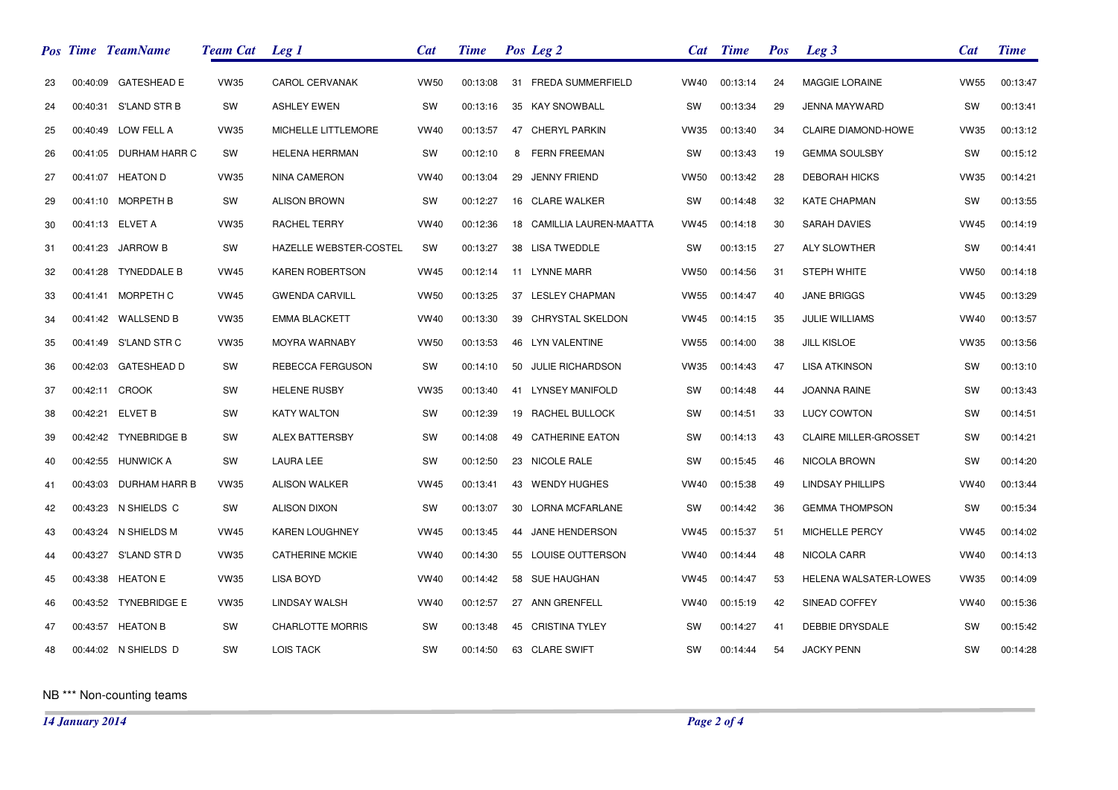|    | <b>Pos Time TeamName</b> | <b>Team Cat</b> Leg 1 |                         | Cat         | <b>Time</b> |    | Pos Leg 2                 | <b>Cat</b>  | <b>Time</b> | <b>Pos</b> | Leg <sub>3</sub>             | <b>Cat</b>  | <b>Time</b> |
|----|--------------------------|-----------------------|-------------------------|-------------|-------------|----|---------------------------|-------------|-------------|------------|------------------------------|-------------|-------------|
| 23 | 00:40:09 GATESHEAD E     | <b>VW35</b>           | <b>CAROL CERVANAK</b>   | <b>VW50</b> | 00:13:08    |    | 31 FREDA SUMMERFIELD      | VW40        | 00:13:14    | 24         | <b>MAGGIE LORAINE</b>        | <b>VW55</b> | 00:13:47    |
| 24 | 00:40:31 S'LAND STR B    | SW                    | <b>ASHLEY EWEN</b>      | SW          | 00:13:16    |    | 35 KAY SNOWBALL           | sw          | 00:13:34    | 29         | JENNA MAYWARD                | SW          | 00:13:41    |
| 25 | 00:40:49 LOW FELL A      | <b>VW35</b>           | MICHELLE LITTLEMORE     | <b>VW40</b> | 00:13:57    |    | 47 CHERYL PARKIN          | <b>VW35</b> | 00:13:40    | 34         | CLAIRE DIAMOND-HOWE          | <b>VW35</b> | 00:13:12    |
| 26 | 00:41:05 DURHAM HARR C   | SW                    | <b>HELENA HERRMAN</b>   | SW          | 00:12:10    | 8  | <b>FERN FREEMAN</b>       | SW          | 00:13:43    | 19         | <b>GEMMA SOULSBY</b>         | SW          | 00:15:12    |
| 27 | 00:41:07 HEATON D        | <b>VW35</b>           | <b>NINA CAMERON</b>     | <b>VW40</b> | 00:13:04    |    | 29 JENNY FRIEND           | <b>VW50</b> | 00:13:42    | 28         | <b>DEBORAH HICKS</b>         | <b>VW35</b> | 00:14:21    |
| 29 | 00:41:10 MORPETH B       | SW                    | <b>ALISON BROWN</b>     | SW          | 00:12:27    |    | 16 CLARE WALKER           | SW          | 00:14:48    | 32         | <b>KATE CHAPMAN</b>          | SW          | 00:13:55    |
| 30 | 00:41:13 ELVET A         | <b>VW35</b>           | RACHEL TERRY            | <b>VW40</b> | 00:12:36    |    | 18 CAMILLIA LAUREN-MAATTA | <b>VW45</b> | 00:14:18    | 30         | <b>SARAH DAVIES</b>          | <b>VW45</b> | 00:14:19    |
| 31 | 00:41:23 JARROW B        | SW                    | HAZELLE WEBSTER-COSTEL  | SW          | 00:13:27    |    | 38 LISA TWEDDLE           | <b>SW</b>   | 00:13:15    | 27         | <b>ALY SLOWTHER</b>          | SW          | 00:14:41    |
| 32 | 00:41:28 TYNEDDALE B     | <b>VW45</b>           | <b>KAREN ROBERTSON</b>  | <b>VW45</b> | 00:12:14    |    | 11 LYNNE MARR             | <b>VW50</b> | 00:14:56    | 31         | <b>STEPH WHITE</b>           | <b>VW50</b> | 00:14:18    |
| 33 | 00:41:41 MORPETH C       | <b>VW45</b>           | <b>GWENDA CARVILL</b>   | <b>VW50</b> | 00:13:25    |    | 37 LESLEY CHAPMAN         | <b>VW55</b> | 00:14:47    | 40         | <b>JANE BRIGGS</b>           | <b>VW45</b> | 00:13:29    |
| 34 | 00:41:42 WALLSEND B      | <b>VW35</b>           | <b>EMMA BLACKETT</b>    | <b>VW40</b> | 00:13:30    |    | 39 CHRYSTAL SKELDON       | <b>VW45</b> | 00:14:15    | 35         | JULIE WILLIAMS               | <b>VW40</b> | 00:13:57    |
| 35 | 00:41:49 S'LAND STR C    | <b>VW35</b>           | <b>MOYRA WARNABY</b>    | <b>VW50</b> | 00:13:53    |    | 46 LYN VALENTINE          | <b>VW55</b> | 00:14:00    | 38         | <b>JILL KISLOE</b>           | <b>VW35</b> | 00:13:56    |
| 36 | 00:42:03 GATESHEAD D     | SW                    | REBECCA FERGUSON        | SW          | 00:14:10    |    | 50 JULIE RICHARDSON       | <b>VW35</b> | 00:14:43    | 47         | <b>LISA ATKINSON</b>         | SW          | 00:13:10    |
| 37 | 00:42:11 CROOK           | SW                    | <b>HELENE RUSBY</b>     | <b>VW35</b> | 00:13:40    |    | 41 LYNSEY MANIFOLD        | <b>SW</b>   | 00:14:48    | 44         | JOANNA RAINE                 | SW          | 00:13:43    |
| 38 | 00:42:21 ELVET B         | SW                    | <b>KATY WALTON</b>      | SW          | 00:12:39    |    | 19 RACHEL BULLOCK         | SW          | 00:14:51    | 33         | <b>LUCY COWTON</b>           | SW          | 00:14:51    |
| 39 | 00:42:42 TYNEBRIDGE B    | SW                    | <b>ALEX BATTERSBY</b>   | SW          | 00:14:08    | 49 | <b>CATHERINE EATON</b>    | SW          | 00:14:13    | 43         | <b>CLAIRE MILLER-GROSSET</b> | SW          | 00:14:21    |
| 40 | 00:42:55 HUNWICK A       | SW                    | <b>LAURA LEE</b>        | SW          | 00:12:50    |    | 23 NICOLE RALE            | SW          | 00:15:45    | 46         | NICOLA BROWN                 | SW          | 00:14:20    |
| 41 | 00:43:03 DURHAM HARR B   | <b>VW35</b>           | <b>ALISON WALKER</b>    | <b>VW45</b> | 00:13:41    |    | 43 WENDY HUGHES           | <b>VW40</b> | 00:15:38    | 49         | <b>LINDSAY PHILLIPS</b>      | <b>VW40</b> | 00:13:44    |
| 42 | 00:43:23 N SHIELDS C     | SW                    | <b>ALISON DIXON</b>     | SW          | 00:13:07    |    | 30 LORNA MCFARLANE        | SW          | 00:14:42    | 36         | <b>GEMMA THOMPSON</b>        | SW          | 00:15:34    |
| 43 | 00:43:24 N SHIELDS M     | <b>VW45</b>           | <b>KAREN LOUGHNEY</b>   | <b>VW45</b> | 00:13:45    |    | 44 JANE HENDERSON         | <b>VW45</b> | 00:15:37    | 51         | MICHELLE PERCY               | <b>VW45</b> | 00:14:02    |
| 44 | 00:43:27 S'LAND STR D    | <b>VW35</b>           | <b>CATHERINE MCKIE</b>  | <b>VW40</b> | 00:14:30    |    | 55 LOUISE OUTTERSON       | <b>VW40</b> | 00:14:44    | 48         | NICOLA CARR                  | <b>VW40</b> | 00:14:13    |
| 45 | 00:43:38 HEATON E        | <b>VW35</b>           | <b>LISA BOYD</b>        | <b>VW40</b> | 00:14:42    |    | 58 SUE HAUGHAN            | <b>VW45</b> | 00:14:47    | 53         | HELENA WALSATER-LOWES        | <b>VW35</b> | 00:14:09    |
| 46 | 00:43:52 TYNEBRIDGE E    | <b>VW35</b>           | LINDSAY WALSH           | <b>VW40</b> | 00:12:57    |    | 27 ANN GRENFELL           | <b>VW40</b> | 00:15:19    | 42         | SINEAD COFFEY                | <b>VW40</b> | 00:15:36    |
| 47 | 00:43:57 HEATON B        | SW                    | <b>CHARLOTTE MORRIS</b> | SW          | 00:13:48    |    | 45 CRISTINA TYLEY         | sw          | 00:14:27    | 41         | DEBBIE DRYSDALE              | SW          | 00:15:42    |
| 48 | 00:44:02 N SHIELDS D     | SW                    | <b>LOIS TACK</b>        | SW          | 00:14:50    |    | 63 CLARE SWIFT            | <b>SW</b>   | 00:14:44    | 54         | <b>JACKY PENN</b>            | SW          | 00:14:28    |

NB \*\*\* Non-counting teams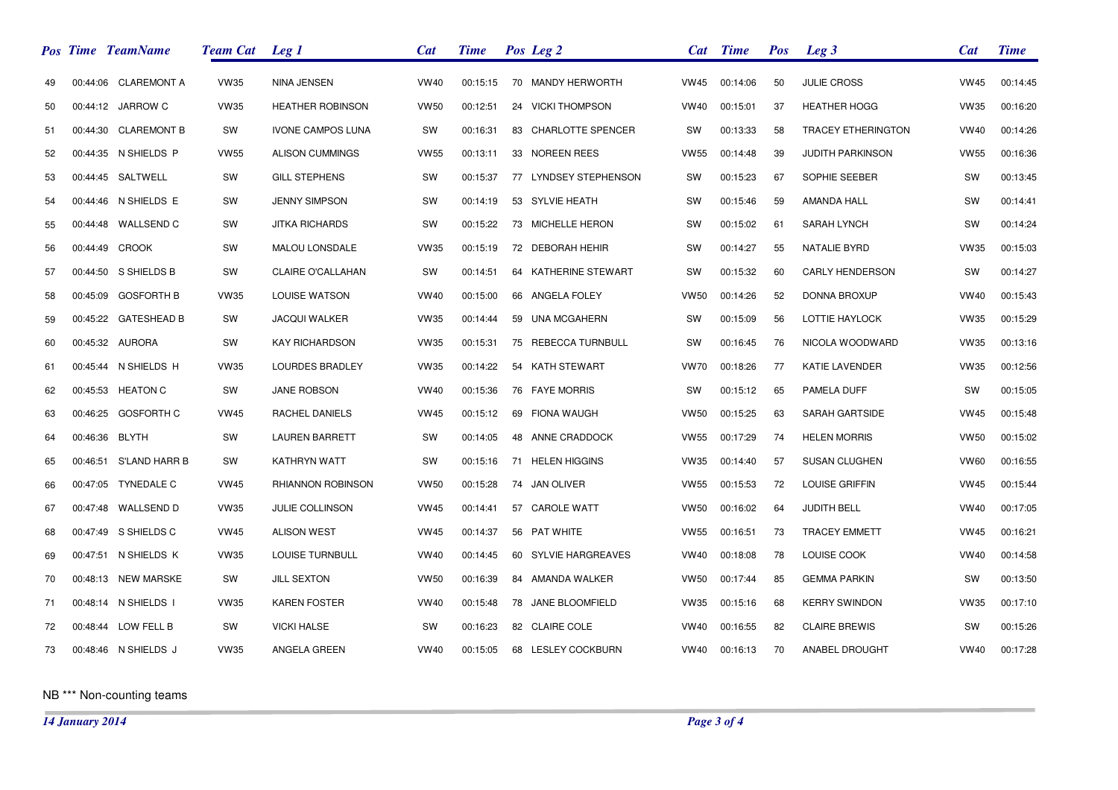|    | Pos Time TeamName      | <b>Team Cat</b> Leg 1 |                          | <b>Cat</b>  | <b>Time</b> |    | Pos Leg 2             |             | Cat Time | <b>Pos</b> | Leg <sub>3</sub>          | <b>Cat</b>  | <b>Time</b> |
|----|------------------------|-----------------------|--------------------------|-------------|-------------|----|-----------------------|-------------|----------|------------|---------------------------|-------------|-------------|
| 49 | 00:44:06 CLAREMONT A   | <b>VW35</b>           | NINA JENSEN              | <b>VW40</b> | 00:15:15    |    | 70 MANDY HERWORTH     | <b>VW45</b> | 00:14:06 | 50         | <b>JULIE CROSS</b>        | <b>VW45</b> | 00:14:45    |
| 50 | 00:44:12 JARROW C      | <b>VW35</b>           | <b>HEATHER ROBINSON</b>  | <b>VW50</b> | 00:12:51    |    | 24 VICKI THOMPSON     | <b>VW40</b> | 00:15:01 | 37         | <b>HEATHER HOGG</b>       | <b>VW35</b> | 00:16:20    |
| 51 | 00:44:30 CLAREMONT B   | SW                    | <b>IVONE CAMPOS LUNA</b> | SW          | 00:16:31    |    | 83 CHARLOTTE SPENCER  | sw          | 00:13:33 | 58         | <b>TRACEY ETHERINGTON</b> | <b>VW40</b> | 00:14:26    |
| 52 | 00:44:35 N SHIELDS P   | <b>VW55</b>           | <b>ALISON CUMMINGS</b>   | <b>VW55</b> | 00:13:11    |    | 33 NOREEN REES        | <b>VW55</b> | 00:14:48 | 39         | <b>JUDITH PARKINSON</b>   | <b>VW55</b> | 00:16:36    |
| 53 | 00:44:45 SALTWELL      | SW                    | <b>GILL STEPHENS</b>     | SW          | 00:15:37    |    | 77 LYNDSEY STEPHENSON | SW          | 00:15:23 | 67         | SOPHIE SEEBER             | SW          | 00:13:45    |
| 54 | 00:44:46 N SHIELDS E   | SW                    | <b>JENNY SIMPSON</b>     | <b>SW</b>   | 00:14:19    |    | 53 SYLVIE HEATH       | SW          | 00:15:46 | 59         | <b>AMANDA HALL</b>        | SW          | 00:14:41    |
| 55 | 00:44:48 WALLSEND C    | SW                    | <b>JITKA RICHARDS</b>    | SW          | 00:15:22    |    | 73 MICHELLE HERON     | <b>SW</b>   | 00:15:02 | 61         | <b>SARAH LYNCH</b>        | SW          | 00:14:24    |
| 56 | 00:44:49 CROOK         | SW                    | MALOU LONSDALE           | <b>VW35</b> | 00:15:19    |    | 72 DEBORAH HEHIR      | <b>SW</b>   | 00:14:27 | 55         | <b>NATALIE BYRD</b>       | <b>VW35</b> | 00:15:03    |
| 57 | 00:44:50 S SHIELDS B   | SW                    | <b>CLAIRE O'CALLAHAN</b> | SW          | 00:14:51    |    | 64 KATHERINE STEWART  | SW          | 00:15:32 | 60         | <b>CARLY HENDERSON</b>    | SW          | 00:14:27    |
| 58 | 00:45:09 GOSFORTH B    | <b>VW35</b>           | LOUISE WATSON            | <b>VW40</b> | 00:15:00    |    | 66 ANGELA FOLEY       | <b>VW50</b> | 00:14:26 | 52         | DONNA BROXUP              | <b>VW40</b> | 00:15:43    |
| 59 | 00:45:22 GATESHEAD B   | SW                    | <b>JACQUI WALKER</b>     | <b>VW35</b> | 00:14:44    |    | 59 UNA MCGAHERN       | SW          | 00:15:09 | 56         | LOTTIE HAYLOCK            | <b>VW35</b> | 00:15:29    |
| 60 | 00:45:32 AURORA        | SW                    | <b>KAY RICHARDSON</b>    | <b>VW35</b> | 00:15:31    |    | 75 REBECCA TURNBULL   | SW          | 00:16:45 | 76         | NICOLA WOODWARD           | <b>VW35</b> | 00:13:16    |
| 61 | 00:45:44 N SHIELDS H   | <b>VW35</b>           | LOURDES BRADLEY          | <b>VW35</b> | 00:14:22    |    | 54 KATH STEWART       | <b>VW70</b> | 00:18:26 | 77         | KATIE LAVENDER            | <b>VW35</b> | 00:12:56    |
| 62 | 00:45:53 HEATON C      | SW                    | <b>JANE ROBSON</b>       | <b>VW40</b> | 00:15:36    |    | 76 FAYE MORRIS        | <b>SW</b>   | 00:15:12 | 65         | PAMELA DUFF               | SW          | 00:15:05    |
| 63 | 00:46:25 GOSFORTH C    | <b>VW45</b>           | RACHEL DANIELS           | <b>VW45</b> | 00:15:12    |    | 69 FIONA WAUGH        | <b>VW50</b> | 00:15:25 | 63         | <b>SARAH GARTSIDE</b>     | <b>VW45</b> | 00:15:48    |
| 64 | 00:46:36 BLYTH         | SW                    | <b>LAUREN BARRETT</b>    | SW          | 00:14:05    |    | 48 ANNE CRADDOCK      | <b>VW55</b> | 00:17:29 | 74         | <b>HELEN MORRIS</b>       | <b>VW50</b> | 00:15:02    |
| 65 | 00:46:51 S'LAND HARR B | SW                    | KATHRYN WATT             | SW          | 00:15:16    |    | 71 HELEN HIGGINS      | <b>VW35</b> | 00:14:40 | 57         | <b>SUSAN CLUGHEN</b>      | <b>VW60</b> | 00:16:55    |
| 66 | 00:47:05 TYNEDALE C    | <b>VW45</b>           | RHIANNON ROBINSON        | <b>VW50</b> | 00:15:28    |    | 74 JAN OLIVER         | <b>VW55</b> | 00:15:53 | 72         | <b>LOUISE GRIFFIN</b>     | <b>VW45</b> | 00:15:44    |
| 67 | 00:47:48 WALLSEND D    | <b>VW35</b>           | <b>JULIE COLLINSON</b>   | <b>VW45</b> | 00:14:41    |    | 57 CAROLE WATT        | <b>VW50</b> | 00:16:02 | 64         | <b>JUDITH BELL</b>        | <b>VW40</b> | 00:17:05    |
| 68 | 00:47:49 S SHIELDS C   | <b>VW45</b>           | <b>ALISON WEST</b>       | <b>VW45</b> | 00:14:37    |    | 56 PAT WHITE          | VW55        | 00:16:51 | 73         | <b>TRACEY EMMETT</b>      | <b>VW45</b> | 00:16:21    |
| 69 | 00:47:51 N SHIELDS K   | <b>VW35</b>           | <b>LOUISE TURNBULL</b>   | <b>VW40</b> | 00:14:45    |    | 60 SYLVIE HARGREAVES  | <b>VW40</b> | 00:18:08 | 78         | LOUISE COOK               | <b>VW40</b> | 00:14:58    |
| 70 | 00:48:13 NEW MARSKE    | SW                    | <b>JILL SEXTON</b>       | <b>VW50</b> | 00:16:39    |    | 84 AMANDA WALKER      | <b>VW50</b> | 00:17:44 | 85         | <b>GEMMA PARKIN</b>       | SW          | 00:13:50    |
| 71 | 00:48:14 N SHIELDS I   | <b>VW35</b>           | <b>KAREN FOSTER</b>      | <b>VW40</b> | 00:15:48    | 78 | JANE BLOOMFIELD       | <b>VW35</b> | 00:15:16 | 68         | <b>KERRY SWINDON</b>      | <b>VW35</b> | 00:17:10    |
| 72 | 00:48:44 LOW FELL B    | SW                    | <b>VICKI HALSE</b>       | SW          | 00:16:23    |    | 82 CLAIRE COLE        | <b>VW40</b> | 00:16:55 | 82         | <b>CLAIRE BREWIS</b>      | SW          | 00:15:26    |
| 73 | 00:48:46 N SHIELDS J   | <b>VW35</b>           | ANGELA GREEN             | <b>VW40</b> | 00:15:05    |    | 68 LESLEY COCKBURN    | <b>VW40</b> | 00:16:13 | 70         | ANABEL DROUGHT            | <b>VW40</b> | 00:17:28    |

NB \*\*\* Non-counting teams